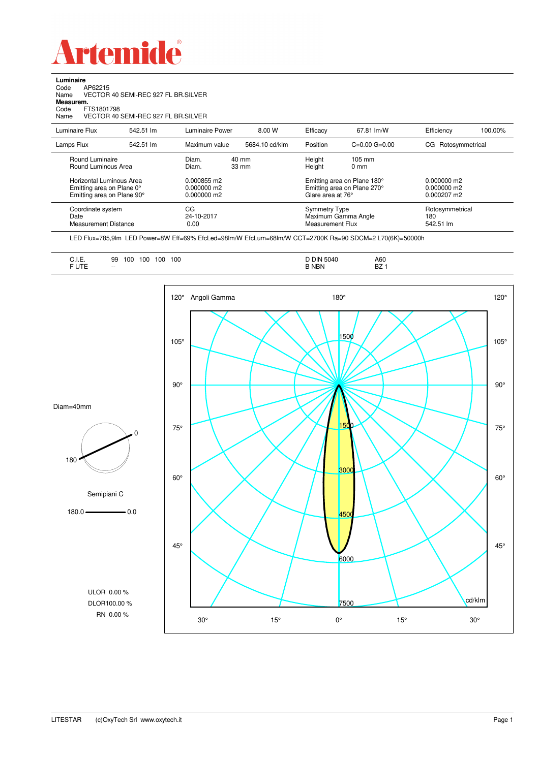

**Luminaire**<br>Code /<br>Name \ e<br>AP62215<br>VECTOR 40 SEMI-REC 927 FL BR.SILVER Name VECTOR 40 SEMI-REC 927 FL BR.SILVER **Measurem.**

Code FTS1801798 Name VECTOR 40 SEMI-REC 927 FL BR.SILVER

| Luminaire Flux                                                                                                                | 542.51 lm | Luminaire Power                                                 | 8.00 W                   | Efficacy                              | 67.81 lm/W                                                                                       | Efficiency                                      | 100.00% |
|-------------------------------------------------------------------------------------------------------------------------------|-----------|-----------------------------------------------------------------|--------------------------|---------------------------------------|--------------------------------------------------------------------------------------------------|-------------------------------------------------|---------|
| Lamps Flux                                                                                                                    | 542.51 lm | Maximum value                                                   | 5684.10 cd/klm           | Position                              | $C=0.00$ $G=0.00$                                                                                | Rotosymmetrical<br>CG                           |         |
| Round Luminaire<br>Round Luminous Area<br>Horizontal Luminous Area<br>Emitting area on Plane 0°<br>Emitting area on Plane 90° |           | Diam.<br>Diam.<br>0.000855 m2<br>$0.000000$ m2<br>$0.000000$ m2 | 40 mm<br>$33 \text{ mm}$ | Height<br>Height<br>Glare area at 76° | $105 \text{ mm}$<br>$0 \text{ mm}$<br>Emitting area on Plane 180°<br>Emitting area on Plane 270° | $0.000000$ m2<br>$0.000000$ m2<br>$0.000207$ m2 |         |
| Coordinate system<br>Date<br>Measurement Distance                                                                             |           | CG<br>24-10-2017<br>0.00                                        |                          | Symmetry Type<br>Measurement Flux     | Maximum Gamma Angle                                                                              | Rotosymmetrical<br>180<br>542.51 lm             |         |

LED Flux=785,9lm LED Power=8W Eff=69% EfcLed=98lm/W EfcLum=68lm/W CCT=2700K Ra=90 SDCM=2 L70(6K)=50000h

| 100<br>100<br>100<br>100<br>99<br><b></b><br>the contract of the contract of the<br><b>CUTC</b><br>UIE<br>$-$ | A60<br><b>DIN 5040</b><br>n7<br><b>NBN</b><br>DZ. |  |
|---------------------------------------------------------------------------------------------------------------|---------------------------------------------------|--|
|---------------------------------------------------------------------------------------------------------------|---------------------------------------------------|--|